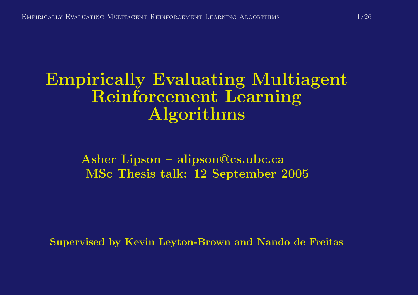#### Empirically Evaluating Multiagent Reinforcement Learning Algorithms

Asher Lipson – alipson@cs.ubc.ca MSc Thesis talk: 12 September 2005

Supervised by Kevin Leyton-Brown and Nando de Freitas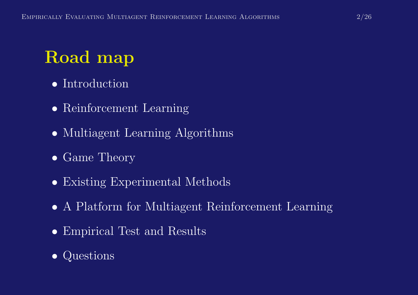# Road map

- Introduction
- Reinforcement Learning
- Multiagent Learning Algorithms
- Game Theory
- Existing Experimental Methods
- A Platform for Multiagent Reinforcement Learning
- Empirical Test and Results

#### • Questions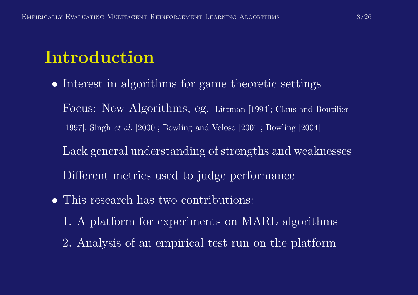### Introduction

• Interest in algorithms for game theoretic settings

Focus: New Algorithms, eg. Littman [1994]; Claus and Boutilier [1997]; Singh et al. [2000]; Bowling and Veloso [2001]; Bowling [2004]

- Lack general understanding of strengths and weaknesses Different metrics used to judge performance
- This research has two contributions:
	- 1. A <sup>p</sup>latform for experiments on MARL algorithms
	- 2. Analysis of an empirical test run on the <sup>p</sup>latform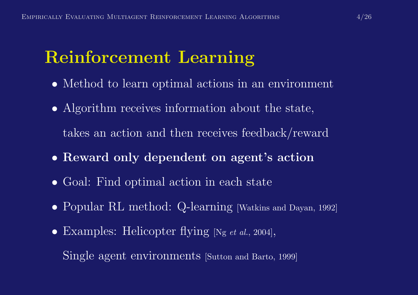#### Reinforcement Learning

- Method to learn optimal actions in an environment
- Algorithm receives information about the state,
	- takes an action and then receives feedback/reward
- Reward only dependent on agent's action
- Goal: Find optimal action in each state
- Popular RL method: Q-learning [Watkins and Dayan, 1992]
- Examples: Helicopter flying [Ng et al., 2004],

Single agent environments [Sutton and Barto, 1999]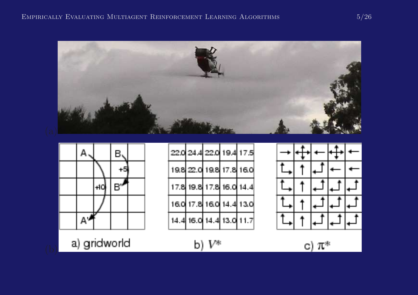#### EMPIRICALLY EVALUATING MULTIAGENT REINFORCEMENT LEARNING ALGORITHMS  $5/26$





a) gridworld

| 22.0 24.4 22.0 19.4 17.5 |  |  |
|--------------------------|--|--|
| 198 22.0 198 17.8 16.0   |  |  |
| 17.8 19.8 17.8 16.0 14.4 |  |  |
| 16.0 17.8 16.0 14.4 13.0 |  |  |
| 14.4 16.0 14.4 13.0 11.7 |  |  |



b)  $V^*$ 

c)  $\pi^*$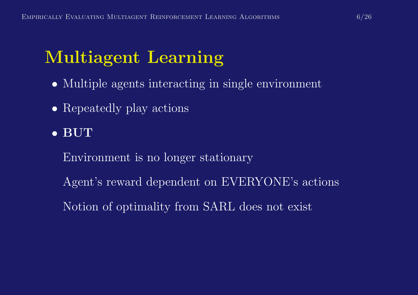# Multiagent Learning

- Multiple agents interacting in single environment
- Repeatedly play actions
- BUT
	- Environment is no longer stationary
	- Agent's reward dependent on EVERYONE's actions
	- Notion of optimality from SARL does not exist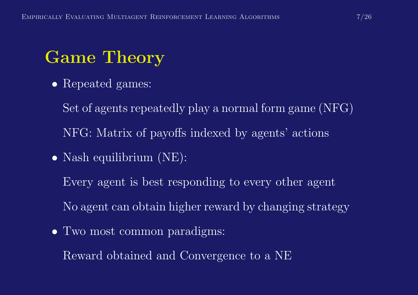# Game Theory

- Repeated games:
	- Set of agents repeatedly <sup>p</sup>lay <sup>a</sup> normal form game (NFG) NFG: Matrix of payoffs indexed by agents' actions
- Nash equilibrium (NE):
	- Every agent is best responding to every other agent
	- No agent can obtain higher reward by changing strategy
- Two most common paradigms:

Reward obtained and Convergence to <sup>a</sup> NE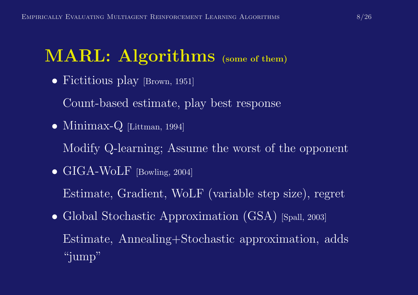# MARL: Algorithms (some of them)

• Fictitious play [Brown, 1951]

Count-based estimate, <sup>p</sup>lay best response

• Minimax-Q [Littman, 1994]

Modify Q-learning; Assume the worst of the opponent

• GIGA-WoLF [Bowling, 2004]

Estimate, Gradient, WoLF (variable step size), regret

• Global Stochastic Approximation (GSA) [Spall, 2003] Estimate, Annealing+Stochastic approximation, adds "jump"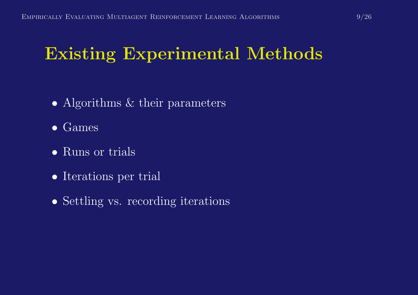## Existing Experimental Methods

- Algorithms & their parameters
- Games
- Runs or trials
- Iterations per trial
- Settling vs. recording iterations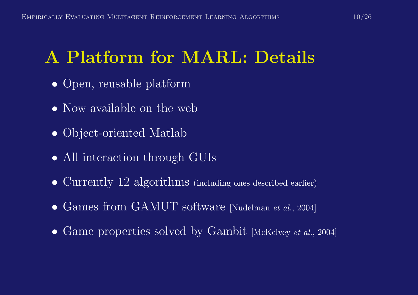# A Platform for MARL: Details

- Open, reusable platform
- Now available on the web
- Object-oriented Matlab
- All interaction through GUIs
- Currently 12 algorithms (including ones described earlier)
- Games from GAMUT software [Nudelman et al., 2004]
- Game properties solved by Gambit [McKelvey et al., 2004]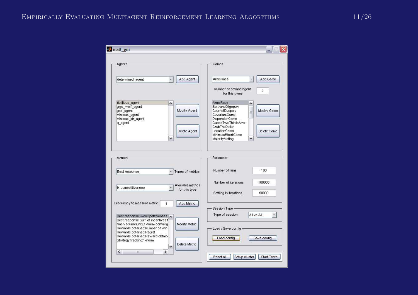| malt_gui                                                                                                                                           |                                                                            |
|----------------------------------------------------------------------------------------------------------------------------------------------------|----------------------------------------------------------------------------|
| Agents-                                                                                                                                            | Games -                                                                    |
| Add Agent<br>determined_agent                                                                                                                      | Add Game<br>ArmsRace                                                       |
|                                                                                                                                                    | Number of actions/agent<br>$\overline{2}$<br>for this game                 |
| fictitious agent<br>۸<br>giga wolf agent<br>Modify Agent<br>gsa_agent                                                                              | <b>ArmsRace</b><br>BertrandOligopoly<br>CournotDuopoly<br>Modify Game<br>ä |
| minimax agent<br>minimax idr agent<br>q_agent                                                                                                      | CovariantGame<br>DispersionGame<br>GuessTwoThirdsAve<br>GrabTheDollar      |
| Delete Agent<br>٧                                                                                                                                  | LocationGame<br>Delete Game<br>MinimumEffortGame<br>Majority Voting        |
|                                                                                                                                                    |                                                                            |
| Metrics-<br>Best response<br>Types of metrics                                                                                                      | Parameter-<br>100<br>Number of runs                                        |
| Available metrics                                                                                                                                  | Number of iterations<br>100000                                             |
| K-competitiveness<br>for this type                                                                                                                 | 90000<br>Settling in iterations                                            |
| Frequency to measure metric<br>Add Metric<br>1                                                                                                     | Session Type -                                                             |
| Best response: K-competitiveness A<br>Best response: Sum of incentives t                                                                           | Type of session<br>All vs All<br>$\frac{1}{2}$                             |
| Nash equilibrium:L1-Norm converq<br>Modify Metric<br>Rewards obtained:Number of wins<br>Rewards obtained:Regret<br>Rewards obtained:Reward obtaine | Load / Save config                                                         |
| Strategy tracking: 1-norm<br>Delete Metric<br>v                                                                                                    | Load config<br>Save config                                                 |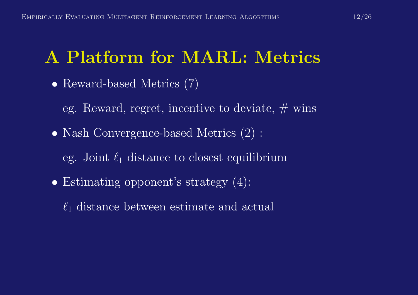# A Platform for MARL: Metrics

- Reward-based Metrics (7)
	- eg. Reward, regret, incentive to deviate,  $\#$  wins
- Nash Convergence-based Metrics  $(2)$ :
	- eg. Joint  $\ell_1$  distance to closest equilibrium
- Estimating opponent's strategy  $(4)$ :
	- $\ell_1$  distance between estimate and actual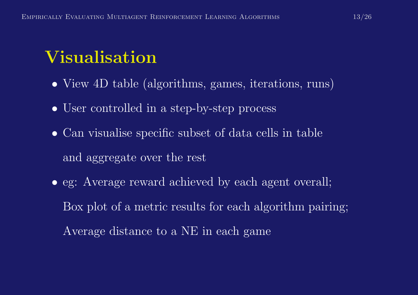# Visualisation

- View 4D table (algorithms, games, iterations, runs)
- User controlled in a step-by-step process
- Can visualise specific subset of data cells in table and aggregate over the rest
- eg: Average reward achieved by each agent overall; Box <sup>p</sup>lot of <sup>a</sup> metric results for each algorithm pairing; Average distance to <sup>a</sup> NE in each game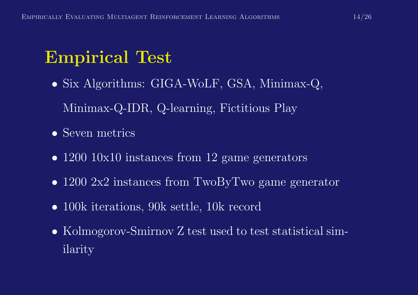# Empirical Test

- Six Algorithms: GIGA-WoLF, GSA, Minimax-Q, Minimax-Q-IDR, Q-learning, Fictitious Play
- Seven metrics
- 1200 10x10 instances from 12 game generators
- 1200 2x2 instances from TwoByTwo game generator
- 100k iterations, 90k settle, 10k record
- Kolmogorov-Smirnov Z test used to test statistical similarity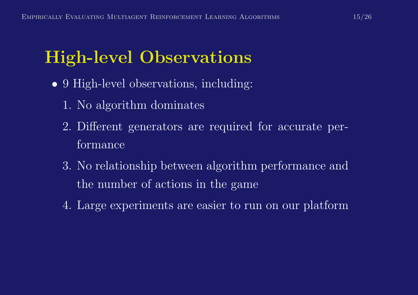# High-level Observations

- 9 High-level observations, including:
	- 1. No algorithm dominates
	- 2. Different generators are required for accurate performance
	- 3. No relationship between algorithm performance and the number of actions in the game
	- 4. Large experiments are easier to run on our <sup>p</sup>latform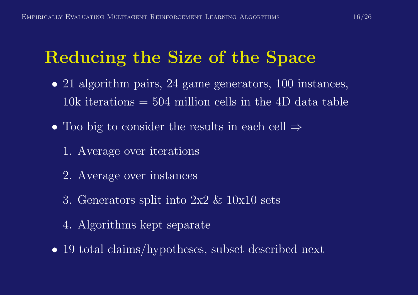## Reducing the Size of the Space

- 21 algorithm pairs, 24 game generators, 100 instances, 10k iterations  $= 504$  million cells in the 4D data table
- Too big to consider the results in each cell  $\Rightarrow$ 
	- 1. Average over iterations
	- 2. Average over instances
	- 3. Generators split into 2x2 & 10x10 sets
	- 4. Algorithms kept separate
- 19 total claims/hypotheses, subset described next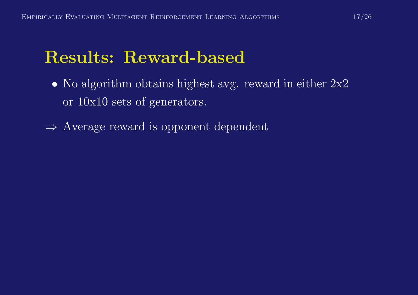#### Results: Reward-based

- No algorithm obtains highest avg. reward in either  $2x^2$ or 10x10 sets of generators.
- <sup>⇒</sup> Average reward is opponent dependent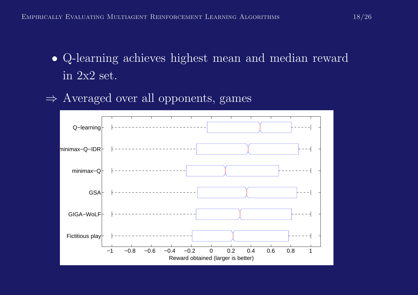- Q-learning achieves highest mean and median reward in 2x2 set.
- <sup>⇒</sup> Averaged over all opponents, games

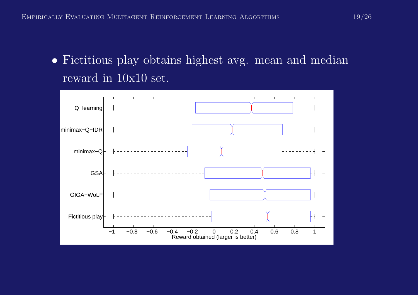• Fictitious play obtains highest avg. mean and median reward in 10x10 set.

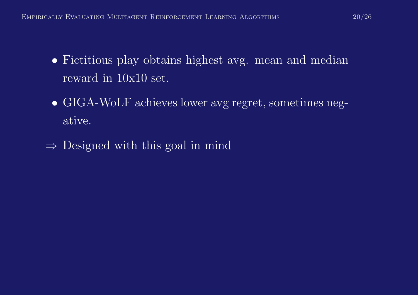- Fictitious play obtains highest avg. mean and median reward in 10x10 set.
- GIGA-WoLF achieves lower avg regret, sometimes negative.
- $\Rightarrow$  Designed with this goal in mind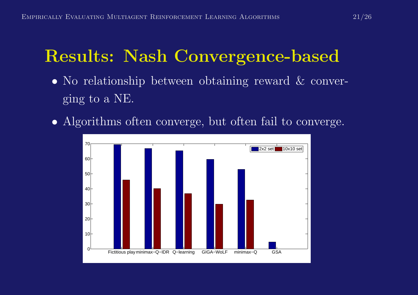#### Results: Nash Convergence-based

- No relationship between obtaining reward & converging to <sup>a</sup> NE.
- Algorithms often converge, but often fail to converge.

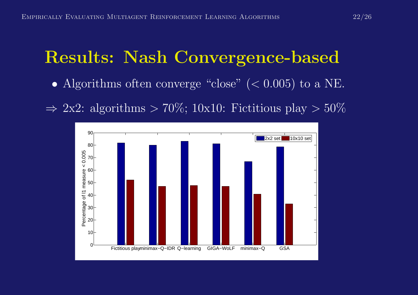### Results: Nash Convergence-based

- Algorithms often converge "close"  $( $0.005$ )$  to a NE.
- $\Rightarrow$  2x2: algorithms  $> 70\%$ ; 10x10: Fictitious play  $> 50\%$

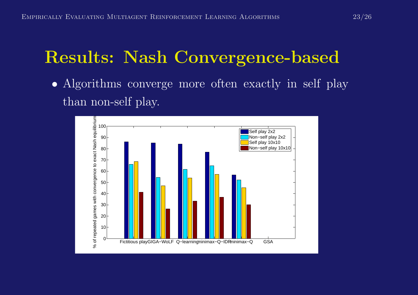#### Results: Nash Convergence-based

• Algorithms converge more often exactly in self <sup>p</sup>lay than non-self <sup>p</sup>lay.

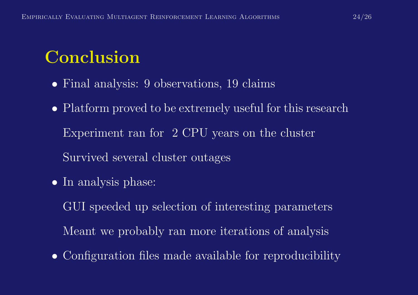# Conclusion

- Final analysis: 9 observations, 19 claims
- Platform proved to be extremely useful for this research Experiment ran for 2 CPU years on the cluster Survived several cluster outages
- In analysis phase:

GUI speeded up selection of interesting parameters Meant we probably ran more iterations of analysis

• Configuration files made available for reproducibility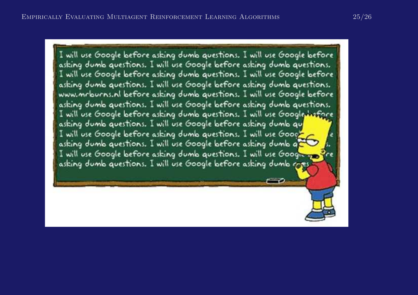I will use Google before asking dumb questions. I will use Google before asking dumb questions. I will use Google before asking dumb questions. I will use Google before asking dumb questions. I will use Google before asking dumb questions. I will use Google before asking dumb questions. www.mrburns.nl before asking dumb questions. I will use Google before asking dumb questions. I will use Google before asking dumb questions. I will use Google before asking dumb questions. I will use Google hafore asking dumb questions. I will use Google before asking dumb qu I will use Google before asking dumb questions. I will use Goog<mark>l</mark> asking dumb questions. I will use Google before asking dumb q' I will use Google before asking dumb questions. I will use Googleasking dumb questions. I will use Google before asking dumb cores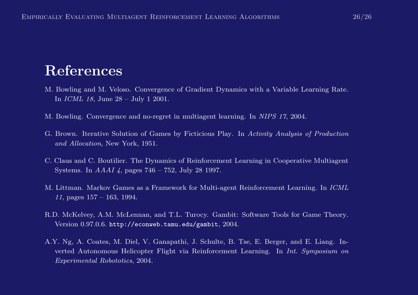#### References

- M. Bowling and M. Veloso. Convergence of Gradient Dynamics with <sup>a</sup> Variable Learning Rate. In ICML 18, June 28 – July 1 2001.
- M. Bowling. Convergence and no-regret in multiagent learning. In NIPS 17, 2004.
- G. Brown. Iterative Solution of Games by Ficticious Play. In Activity Analysis of Production and Allocation, New York, 1951.
- C. Claus and C. Boutilier. The Dynamics of Reinforcement Learning in Cooperative Multiagent Systems. In AAAI 4, pages 746 – 752, July 28 1997.
- M. Littman. Markov Games as <sup>a</sup> Framework for Multi-agent Reinforcement Learning. In ICML 11, pages  $157 - 163$ , 1994.
- R.D. McKelvey, A.M. McLennan, and T.L. Turocy. Gambit: Software Tools for Game Theory. Version 0.97.0.6. http://econweb.tamu.edu/gambit, 2004.
- A.Y. Ng, A. Coates, M. Diel, V. Ganapathi, J. Schulte, B. Tse, E. Berger, and E. Liang. Inverted Autonomous Helicopter Flight via Reinforcement Learning. In Int. Symposium on Experimental Robototics, 2004.